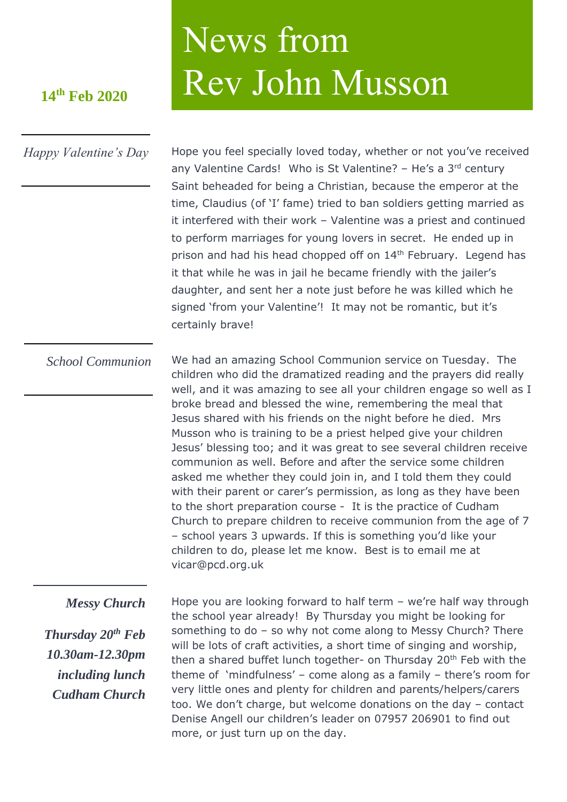## 14<sup>th</sup> Feb 2020<br>Rev John Musson

## *Happy Valentine's Day*

Hope you feel specially loved today, whether or not you've received any Valentine Cards! Who is St Valentine?  $-$  He's a 3<sup>rd</sup> century Saint beheaded for being a Christian, because the emperor at the time, Claudius (of 'I' fame) tried to ban soldiers getting married as it interfered with their work – Valentine was a priest and continued to perform marriages for young lovers in secret. He ended up in prison and had his head chopped off on 14<sup>th</sup> February. Legend has it that while he was in jail he became friendly with the jailer's daughter, and sent her a note just before he was killed which he signed 'from your Valentine'! It may not be romantic, but it's certainly brave!

We had an amazing School Communion service on Tuesday. The children who did the dramatized reading and the prayers did really well, and it was amazing to see all your children engage so well as I broke bread and blessed the wine, remembering the meal that Jesus shared with his friends on the night before he died. Mrs Musson who is training to be a priest helped give your children Jesus' blessing too; and it was great to see several children receive communion as well. Before and after the service some children asked me whether they could join in, and I told them they could with their parent or carer's permission, as long as they have been to the short preparation course - It is the practice of Cudham Church to prepare children to receive communion from the age of 7 – school years 3 upwards. If this is something you'd like your children to do, please let me know. Best is to email me at vicar@pcd.org.uk *School Communion*

News from

## *Messy Church*

*Thursday 20th Feb 10.30am-12.30pm including lunch Cudham Church*

Hope you are looking forward to half term – we're half way through the school year already! By Thursday you might be looking for something to do – so why not come along to Messy Church? There will be lots of craft activities, a short time of singing and worship, then a shared buffet lunch together- on Thursday 20<sup>th</sup> Feb with the theme of 'mindfulness' – come along as a family – there's room for very little ones and plenty for children and parents/helpers/carers too. We don't charge, but welcome donations on the day – contact Denise Angell our children's leader on 07957 206901 to find out more, or just turn up on the day.